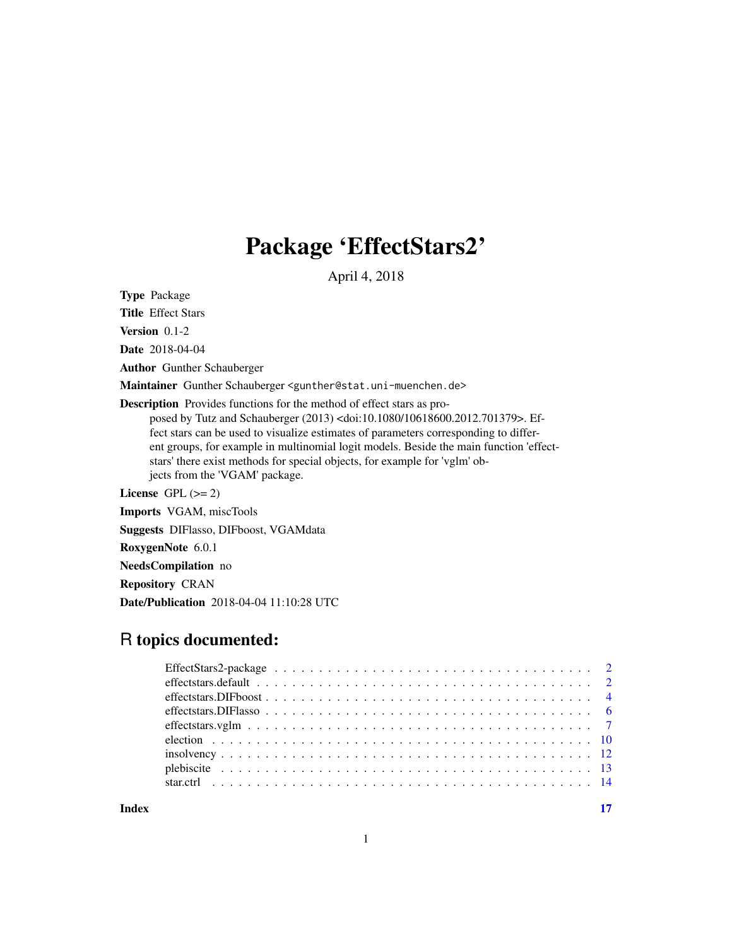## Package 'EffectStars2'

April 4, 2018

<span id="page-0-0"></span>Type Package

Title Effect Stars

Version 0.1-2

Date 2018-04-04

Author Gunther Schauberger

Maintainer Gunther Schauberger <gunther@stat.uni-muenchen.de>

Description Provides functions for the method of effect stars as pro-

posed by Tutz and Schauberger (2013) <doi:10.1080/10618600.2012.701379>. Effect stars can be used to visualize estimates of parameters corresponding to different groups, for example in multinomial logit models. Beside the main function 'effectstars' there exist methods for special objects, for example for 'vglm' objects from the 'VGAM' package.

License GPL  $(>= 2)$ 

Imports VGAM, miscTools

Suggests DIFlasso, DIFboost, VGAMdata

RoxygenNote 6.0.1

NeedsCompilation no

Repository CRAN

Date/Publication 2018-04-04 11:10:28 UTC

### R topics documented:

**Index** [17](#page-16-0)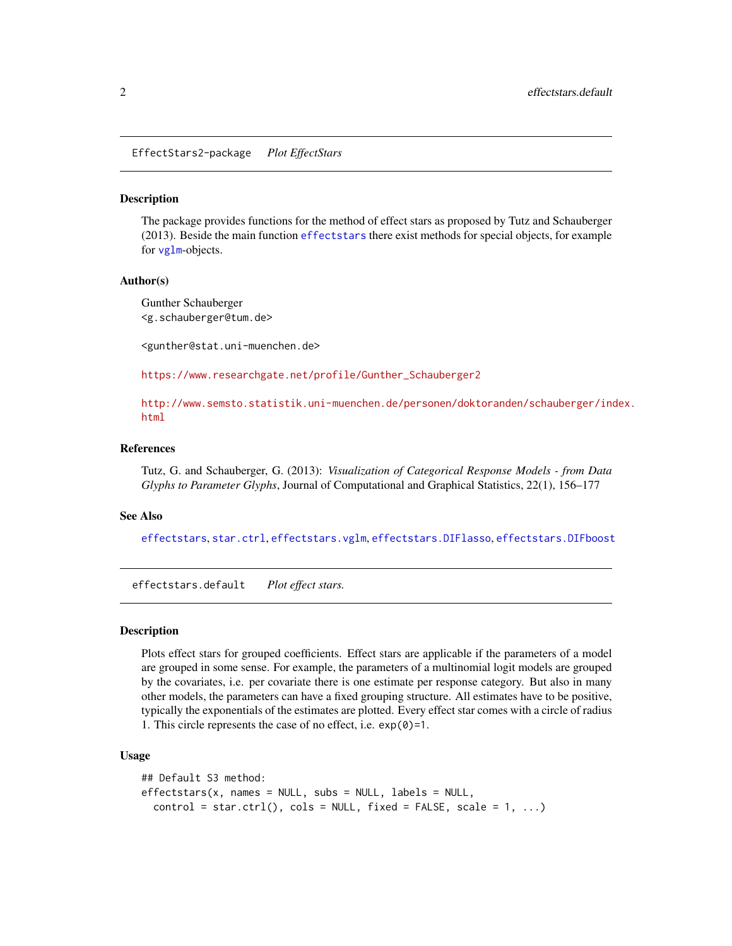<span id="page-1-0"></span>EffectStars2-package *Plot EffectStars*

#### **Description**

The package provides functions for the method of effect stars as proposed by Tutz and Schauberger (2013). Beside the main function [effectstars](#page-1-1) there exist methods for special objects, for example for [vglm](#page-0-0)-objects.

#### Author(s)

Gunther Schauberger <g.schauberger@tum.de>

<gunther@stat.uni-muenchen.de>

[https://www.researchgate.net/profile/Gunther\\_Schauberger2](https://www.researchgate.net/profile/Gunther_Schauberger2)

[http://www.semsto.statistik.uni-muenchen.de/personen/doktoranden/schauberger/ind](http://www.semsto.statistik.uni-muenchen.de/personen/doktoranden/schauberger/index.html)ex. [html](http://www.semsto.statistik.uni-muenchen.de/personen/doktoranden/schauberger/index.html)

#### References

Tutz, G. and Schauberger, G. (2013): *Visualization of Categorical Response Models - from Data Glyphs to Parameter Glyphs*, Journal of Computational and Graphical Statistics, 22(1), 156–177

#### See Also

[effectstars](#page-1-1), [star.ctrl](#page-13-1), [effectstars.vglm](#page-6-1), [effectstars.DIFlasso](#page-5-1), [effectstars.DIFboost](#page-3-1)

effectstars.default *Plot effect stars.*

#### <span id="page-1-1"></span>Description

Plots effect stars for grouped coefficients. Effect stars are applicable if the parameters of a model are grouped in some sense. For example, the parameters of a multinomial logit models are grouped by the covariates, i.e. per covariate there is one estimate per response category. But also in many other models, the parameters can have a fixed grouping structure. All estimates have to be positive, typically the exponentials of the estimates are plotted. Every effect star comes with a circle of radius 1. This circle represents the case of no effect, i.e. exp(0)=1.

#### Usage

```
## Default S3 method:
effectstars(x, names = NULL, subs = NULL, labels = NULL,control = star.ctrl(), cols = NULL, fixed = FALSE, scale = 1, ...)
```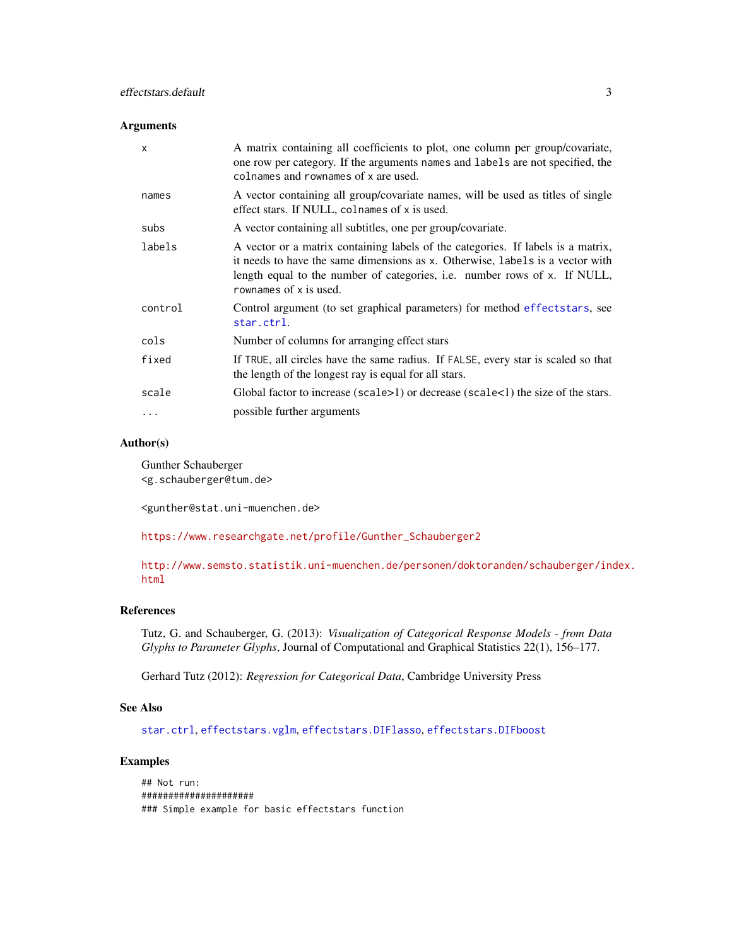#### <span id="page-2-0"></span>Arguments

| $\boldsymbol{\mathsf{x}}$ | A matrix containing all coefficients to plot, one column per group/covariate,<br>one row per category. If the arguments names and labels are not specified, the<br>colnames and rownames of x are used.                                                                  |
|---------------------------|--------------------------------------------------------------------------------------------------------------------------------------------------------------------------------------------------------------------------------------------------------------------------|
| names                     | A vector containing all group/covariate names, will be used as titles of single<br>effect stars. If NULL, colnames of x is used.                                                                                                                                         |
| subs                      | A vector containing all subtitles, one per group/covariate.                                                                                                                                                                                                              |
| labels                    | A vector or a matrix containing labels of the categories. If labels is a matrix,<br>it needs to have the same dimensions as x. Otherwise, labels is a vector with<br>length equal to the number of categories, i.e. number rows of x. If NULL,<br>rownames of x is used. |
| control                   | Control argument (to set graphical parameters) for method effects tars, see<br>star.ctrl.                                                                                                                                                                                |
| cols                      | Number of columns for arranging effect stars                                                                                                                                                                                                                             |
| fixed                     | If TRUE, all circles have the same radius. If FALSE, every star is scaled so that<br>the length of the longest ray is equal for all stars.                                                                                                                               |
| scale                     | Global factor to increase (scale $>1$ ) or decrease (scale $< 1$ ) the size of the stars.                                                                                                                                                                                |
|                           | possible further arguments                                                                                                                                                                                                                                               |
|                           |                                                                                                                                                                                                                                                                          |

#### Author(s)

Gunther Schauberger <g.schauberger@tum.de>

<gunther@stat.uni-muenchen.de>

[https://www.researchgate.net/profile/Gunther\\_Schauberger2](https://www.researchgate.net/profile/Gunther_Schauberger2)

[http://www.semsto.statistik.uni-muenchen.de/personen/doktoranden/schauberger/ind](http://www.semsto.statistik.uni-muenchen.de/personen/doktoranden/schauberger/index.html)ex. [html](http://www.semsto.statistik.uni-muenchen.de/personen/doktoranden/schauberger/index.html)

### References

Tutz, G. and Schauberger, G. (2013): *Visualization of Categorical Response Models - from Data Glyphs to Parameter Glyphs*, Journal of Computational and Graphical Statistics 22(1), 156–177.

Gerhard Tutz (2012): *Regression for Categorical Data*, Cambridge University Press

#### See Also

[star.ctrl](#page-13-1), [effectstars.vglm](#page-6-1), [effectstars.DIFlasso](#page-5-1), [effectstars.DIFboost](#page-3-1)

#### Examples

```
## Not run:
#####################
### Simple example for basic effectstars function
```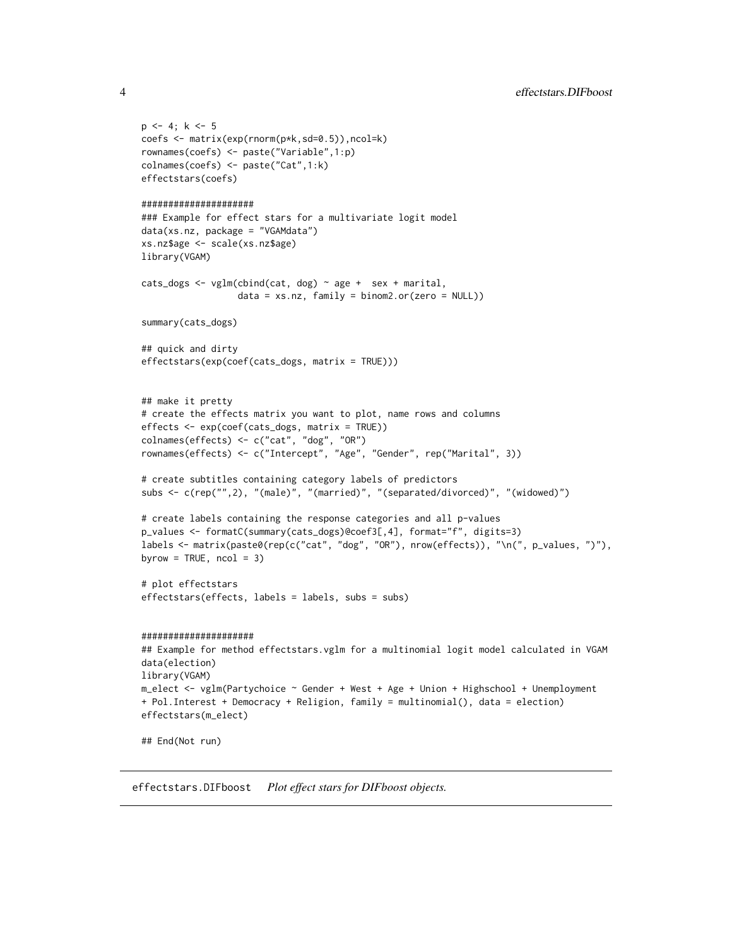```
p \leftarrow 4; k <- 5
coefs <- matrix(exp(rnorm(p*k,sd=0.5)),ncol=k)
rownames(coefs) <- paste("Variable",1:p)
colnames(coefs) <- paste("Cat",1:k)
effectstars(coefs)
#####################
### Example for effect stars for a multivariate logit model
data(xs.nz, package = "VGAMdata")
xs.nz$age <- scale(xs.nz$age)
library(VGAM)
cats_dogs <- vglm(cbind(cat, dog) \sim age + sex + marital,
                  data = xs.nz, family = binom2.or(zero = NULL))
summary(cats_dogs)
## quick and dirty
effectstars(exp(coef(cats_dogs, matrix = TRUE)))
## make it pretty
# create the effects matrix you want to plot, name rows and columns
effects <- exp(coef(cats_dogs, matrix = TRUE))
colnames(effects) <- c("cat", "dog", "OR")
rownames(effects) <- c("Intercept", "Age", "Gender", rep("Marital", 3))
# create subtitles containing category labels of predictors
subs <- c(rep("",2), "(male)", "(married)", "(separated/divorced)", "(widowed)")
# create labels containing the response categories and all p-values
p_values <- formatC(summary(cats_dogs)@coef3[,4], format="f", digits=3)
labels <- matrix(paste0(rep(c("cat", "dog", "OR"), nrow(effects)), "\n(", p_values, ")"),
byrow = TRUE, ncol = 3)
# plot effectstars
effectstars(effects, labels = labels, subs = subs)
#####################
## Example for method effectstars.vglm for a multinomial logit model calculated in VGAM
data(election)
library(VGAM)
m_elect <- vglm(Partychoice ~ Gender + West + Age + Union + Highschool + Unemployment
+ Pol.Interest + Democracy + Religion, family = multinomial(), data = election)
effectstars(m_elect)
## End(Not run)
```
<span id="page-3-1"></span>effectstars.DIFboost *Plot effect stars for DIFboost objects.*

<span id="page-3-0"></span>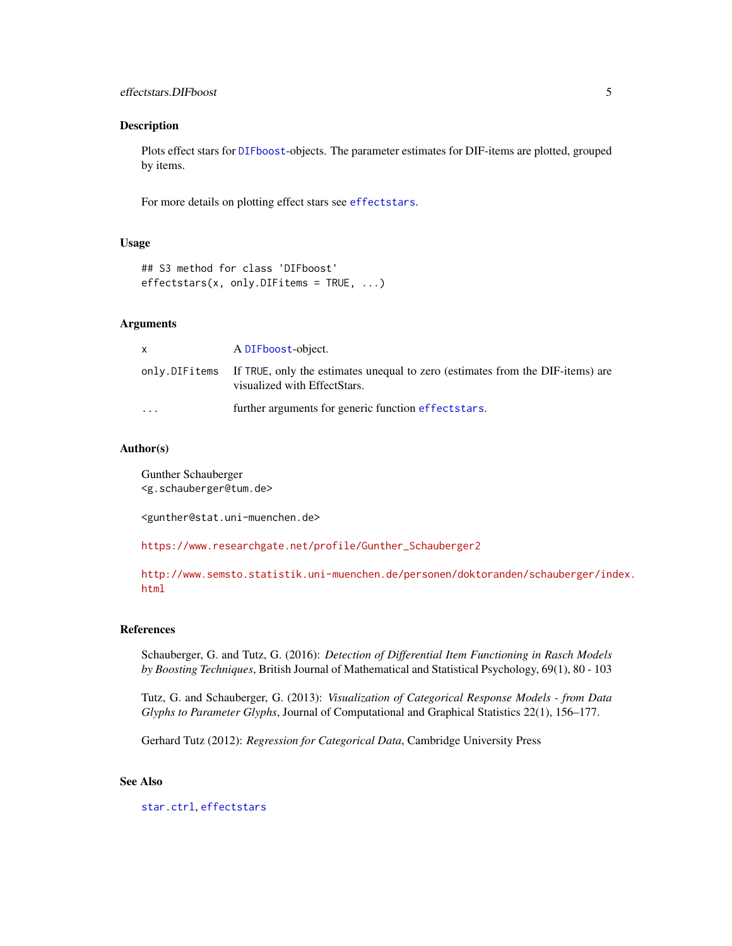#### <span id="page-4-0"></span>Description

Plots effect stars for [DIFboost](#page-0-0)-objects. The parameter estimates for DIF-items are plotted, grouped by items.

For more details on plotting effect stars see [effectstars](#page-1-1).

#### Usage

```
## S3 method for class 'DIFboost'
effectstars(x, only.DIFitems = TRUE, ...)
```
#### Arguments

|           | A DIFboost-object.                                                                                                            |
|-----------|-------------------------------------------------------------------------------------------------------------------------------|
|           | only. DIFitems If TRUE, only the estimates unequal to zero (estimates from the DIF-items) are<br>visualized with EffectStars. |
| $\ddotsc$ | further arguments for generic function effectstars.                                                                           |

#### Author(s)

Gunther Schauberger <g.schauberger@tum.de>

<gunther@stat.uni-muenchen.de>

[https://www.researchgate.net/profile/Gunther\\_Schauberger2](https://www.researchgate.net/profile/Gunther_Schauberger2)

[http://www.semsto.statistik.uni-muenchen.de/personen/doktoranden/schauberger/ind](http://www.semsto.statistik.uni-muenchen.de/personen/doktoranden/schauberger/index.html)ex. [html](http://www.semsto.statistik.uni-muenchen.de/personen/doktoranden/schauberger/index.html)

#### References

Schauberger, G. and Tutz, G. (2016): *Detection of Differential Item Functioning in Rasch Models by Boosting Techniques*, British Journal of Mathematical and Statistical Psychology, 69(1), 80 - 103

Tutz, G. and Schauberger, G. (2013): *Visualization of Categorical Response Models - from Data Glyphs to Parameter Glyphs*, Journal of Computational and Graphical Statistics 22(1), 156–177.

Gerhard Tutz (2012): *Regression for Categorical Data*, Cambridge University Press

#### See Also

[star.ctrl](#page-13-1), [effectstars](#page-1-1)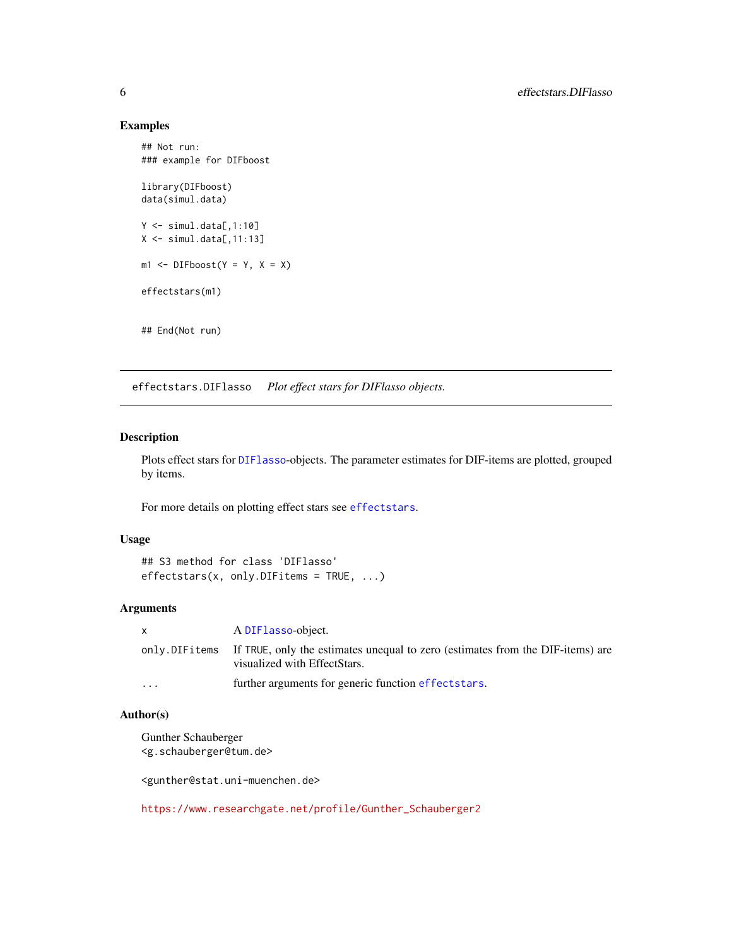#### Examples

```
## Not run:
### example for DIFboost
library(DIFboost)
data(simul.data)
Y \le - \text{simul.data}[,1:10]
X \le - \text{simul.data}[, 11:13]
m1 \leftarrow DIFboost(Y = Y, X = X)effectstars(m1)
## End(Not run)
```
<span id="page-5-1"></span>effectstars.DIFlasso *Plot effect stars for DIFlasso objects.*

#### Description

Plots effect stars for [DIFlasso](#page-0-0)-objects. The parameter estimates for DIF-items are plotted, grouped by items.

For more details on plotting effect stars see [effectstars](#page-1-1).

#### Usage

```
## S3 method for class 'DIFlasso'
effectstars(x, only.DIFitems = TRUE, ...)
```
#### Arguments

| X        | A DIFlasso-object.                                                                                                            |
|----------|-------------------------------------------------------------------------------------------------------------------------------|
|          | only. DIFitems If TRUE, only the estimates unequal to zero (estimates from the DIF-items) are<br>visualized with EffectStars. |
| $\cdots$ | further arguments for generic function effects tars.                                                                          |

#### Author(s)

Gunther Schauberger <g.schauberger@tum.de>

<gunther@stat.uni-muenchen.de>

[https://www.researchgate.net/profile/Gunther\\_Schauberger2](https://www.researchgate.net/profile/Gunther_Schauberger2)

<span id="page-5-0"></span>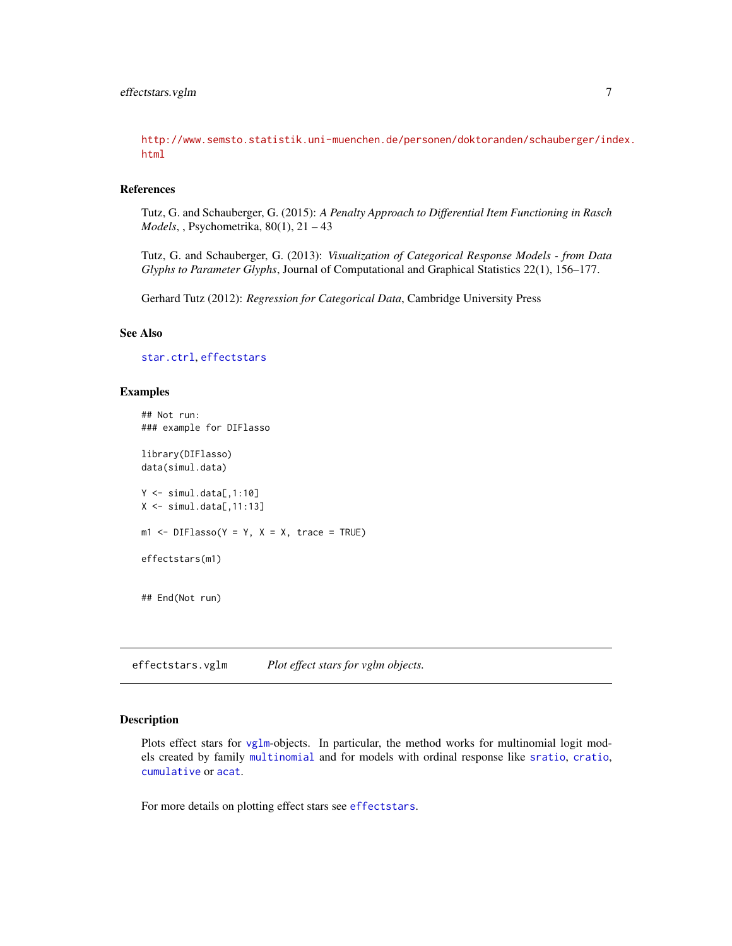<span id="page-6-0"></span>[http://www.semsto.statistik.uni-muenchen.de/personen/doktoranden/schauberger/ind](http://www.semsto.statistik.uni-muenchen.de/personen/doktoranden/schauberger/index.html)ex. [html](http://www.semsto.statistik.uni-muenchen.de/personen/doktoranden/schauberger/index.html)

#### References

Tutz, G. and Schauberger, G. (2015): *A Penalty Approach to Differential Item Functioning in Rasch Models*, , Psychometrika, 80(1), 21 – 43

Tutz, G. and Schauberger, G. (2013): *Visualization of Categorical Response Models - from Data Glyphs to Parameter Glyphs*, Journal of Computational and Graphical Statistics 22(1), 156–177.

Gerhard Tutz (2012): *Regression for Categorical Data*, Cambridge University Press

#### See Also

[star.ctrl](#page-13-1), [effectstars](#page-1-1)

#### Examples

```
## Not run:
### example for DIFlasso
library(DIFlasso)
data(simul.data)
Y <- simul.data[,1:10]
X \leftarrow \text{simul.data[,} 11:13m1 <- DIFlasso(Y = Y, X = X, trace = TRUE)
effectstars(m1)
## End(Not run)
```
<span id="page-6-1"></span>effectstars.vglm *Plot effect stars for vglm objects.*

#### Description

Plots effect stars for [vglm](#page-0-0)-objects. In particular, the method works for multinomial logit models created by family [multinomial](#page-0-0) and for models with ordinal response like [sratio](#page-0-0), [cratio](#page-0-0), [cumulative](#page-0-0) or [acat](#page-0-0).

For more details on plotting effect stars see [effectstars](#page-1-1).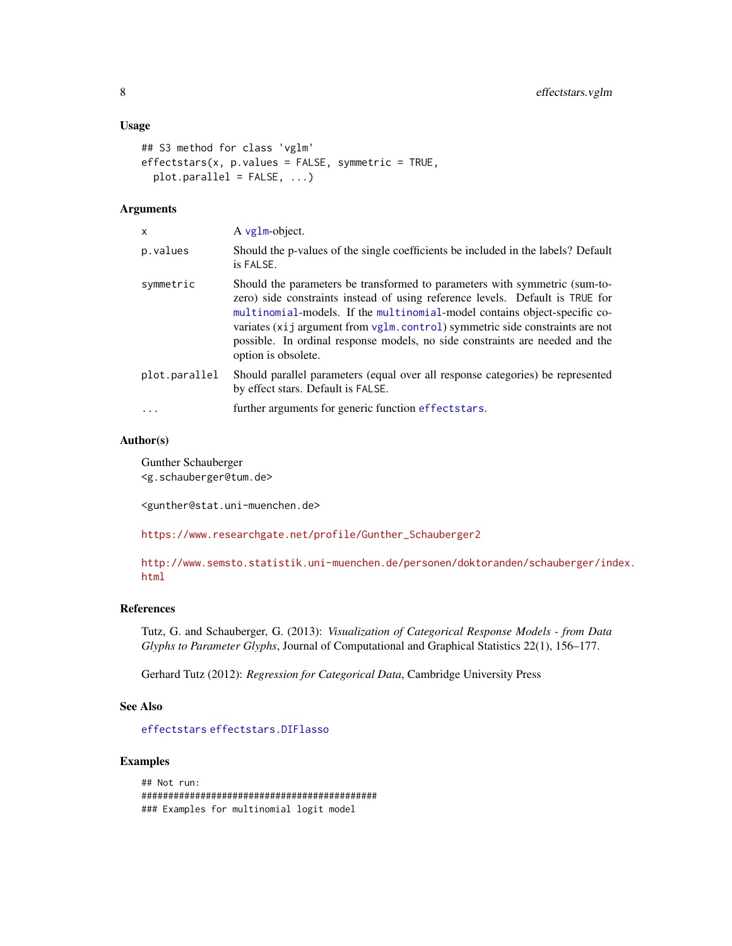#### <span id="page-7-0"></span>Usage

```
## S3 method for class 'vglm'
effectstars(x, p.values = FALSE, symmetric = TRUE,plot.parallel = FALSE, ...)
```
#### Arguments

| x             | A vglm-object.                                                                                                                                                                                                                                                                                                                                                                                                                         |
|---------------|----------------------------------------------------------------------------------------------------------------------------------------------------------------------------------------------------------------------------------------------------------------------------------------------------------------------------------------------------------------------------------------------------------------------------------------|
| p.values      | Should the p-values of the single coefficients be included in the labels? Default<br>is FALSE.                                                                                                                                                                                                                                                                                                                                         |
| symmetric     | Should the parameters be transformed to parameters with symmetric (sum-to-<br>zero) side constraints instead of using reference levels. Default is TRUE for<br>multinomial-models. If the multinomial-model contains object-specific co-<br>variates $(x_i)$ argument from $vglm$ . control) symmetric side constraints are not<br>possible. In ordinal response models, no side constraints are needed and the<br>option is obsolete. |
| plot.parallel | Should parallel parameters (equal over all response categories) be represented<br>by effect stars. Default is FALSE.                                                                                                                                                                                                                                                                                                                   |
| $\cdots$      | further arguments for generic function effectstars.                                                                                                                                                                                                                                                                                                                                                                                    |

#### Author(s)

Gunther Schauberger <g.schauberger@tum.de>

<gunther@stat.uni-muenchen.de>

[https://www.researchgate.net/profile/Gunther\\_Schauberger2](https://www.researchgate.net/profile/Gunther_Schauberger2)

[http://www.semsto.statistik.uni-muenchen.de/personen/doktoranden/schauberger/ind](http://www.semsto.statistik.uni-muenchen.de/personen/doktoranden/schauberger/index.html)ex. [html](http://www.semsto.statistik.uni-muenchen.de/personen/doktoranden/schauberger/index.html)

#### References

Tutz, G. and Schauberger, G. (2013): *Visualization of Categorical Response Models - from Data Glyphs to Parameter Glyphs*, Journal of Computational and Graphical Statistics 22(1), 156–177.

Gerhard Tutz (2012): *Regression for Categorical Data*, Cambridge University Press

#### See Also

[effectstars](#page-1-1) [effectstars.DIFlasso](#page-5-1)

#### Examples

```
## Not run:
############################################
### Examples for multinomial logit model
```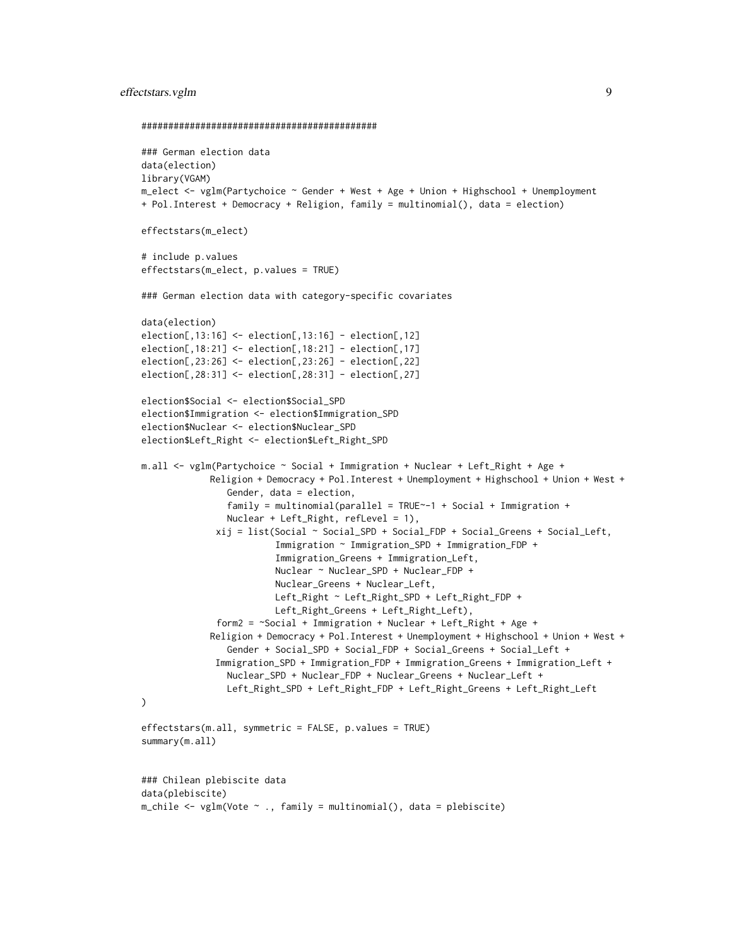#### effectstars.vglm 9

```
############################################
### German election data
data(election)
library(VGAM)
m_elect <- vglm(Partychoice ~ Gender + West + Age + Union + Highschool + Unemployment
+ Pol.Interest + Democracy + Religion, family = multinomial(), data = election)
effectstars(m_elect)
# include p.values
effectstars(m_elect, p.values = TRUE)
### German election data with category-specific covariates
data(election)
election[,13:16] <- election[,13:16] - election[,12]
election[,18:21] <- election[,18:21] - election[,17]
election[,23:26] <- election[,23:26] - election[,22]
election[,28:31] <- election[,28:31] - election[,27]
election$Social <- election$Social_SPD
election$Immigration <- election$Immigration_SPD
election$Nuclear <- election$Nuclear_SPD
election$Left_Right <- election$Left_Right_SPD
m.all <- vglm(Partychoice ~ Social + Immigration + Nuclear + Left_Right + Age +
             Religion + Democracy + Pol.Interest + Unemployment + Highschool + Union + West +
                Gender, data = election,
                family = multinomial(parallel = TRUE~-1 + Social + Immigration +
                Nuclear + Left_Right, refLevel = 1),
              xij = list(Social ~ Social_SPD + Social_FDP + Social_Greens + Social_Left,
                         Immigration ~ Immigration_SPD + Immigration_FDP +
                         Immigration_Greens + Immigration_Left,
                         Nuclear ~ Nuclear_SPD + Nuclear_FDP +
                         Nuclear_Greens + Nuclear_Left,
                         Left_Right ~ Left_Right_SPD + Left_Right_FDP +
                         Left_Right_Greens + Left_Right_Left),
              form2 = ~Social + Immigration + Nuclear + Left_Right + Age +
             Religion + Democracy + Pol.Interest + Unemployment + Highschool + Union + West +
                Gender + Social_SPD + Social_FDP + Social_Greens + Social_Left +
              Immigration_SPD + Immigration_FDP + Immigration_Greens + Immigration_Left +
                Nuclear_SPD + Nuclear_FDP + Nuclear_Greens + Nuclear_Left +
                Left_Right_SPD + Left_Right_FDP + Left_Right_Greens + Left_Right_Left
)
effectstars(m.all, symmetric = FALSE, p.values = TRUE)
summary(m.all)
### Chilean plebiscite data
data(plebiscite)
m_chile <- vglm(Vote ~ ., family = multinomial(), data = plebiscite)
```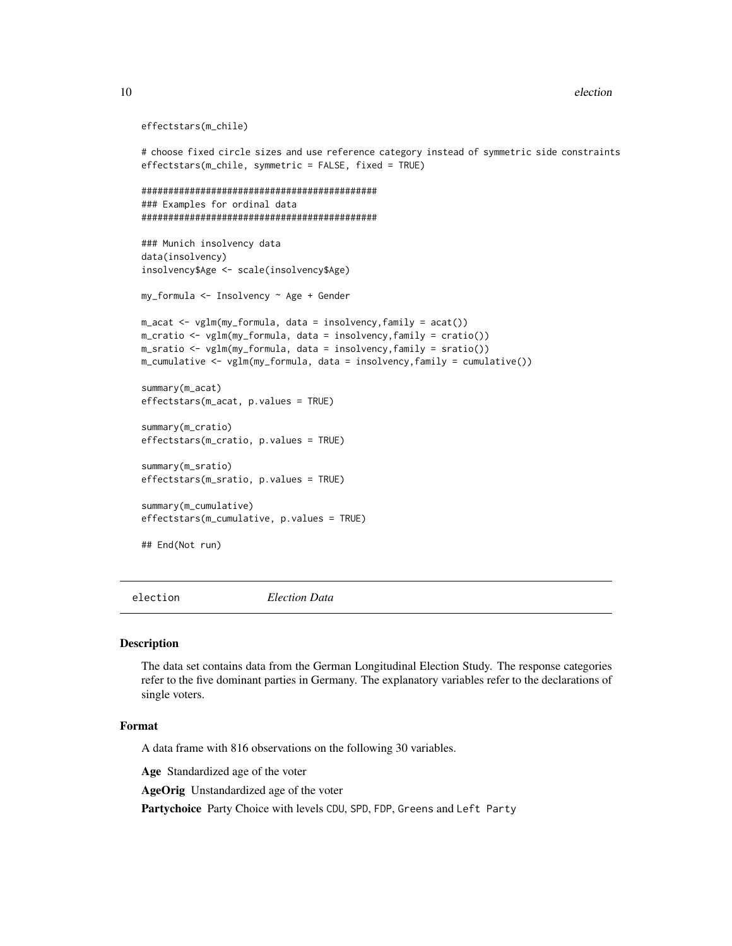```
effectstars(m_chile)
```

```
# choose fixed circle sizes and use reference category instead of symmetric side constraints
effectstars(m_chile, symmetric = FALSE, fixed = TRUE)
############################################
### Examples for ordinal data
############################################
### Munich insolvency data
data(insolvency)
insolvency$Age <- scale(insolvency$Age)
my_formula <- Insolvency ~ Age + Gender
m_acat <- vglm(my_formula, data = insolvency,family = acat())
m_cratio <- vglm(my_formula, data = insolvency,family = cratio())
m_sratio <- vglm(my_formula, data = insolvency,family = sratio())
m_cumulative <- vglm(my_formula, data = insolvency,family = cumulative())
summary(m_acat)
effectstars(m_acat, p.values = TRUE)
summary(m_cratio)
effectstars(m_cratio, p.values = TRUE)
summary(m_sratio)
effectstars(m_sratio, p.values = TRUE)
summary(m_cumulative)
effectstars(m_cumulative, p.values = TRUE)
## End(Not run)
```
election *Election Data*

#### **Description**

The data set contains data from the German Longitudinal Election Study. The response categories refer to the five dominant parties in Germany. The explanatory variables refer to the declarations of single voters.

#### Format

A data frame with 816 observations on the following 30 variables.

Age Standardized age of the voter

AgeOrig Unstandardized age of the voter

Partychoice Party Choice with levels CDU, SPD, FDP, Greens and Left Party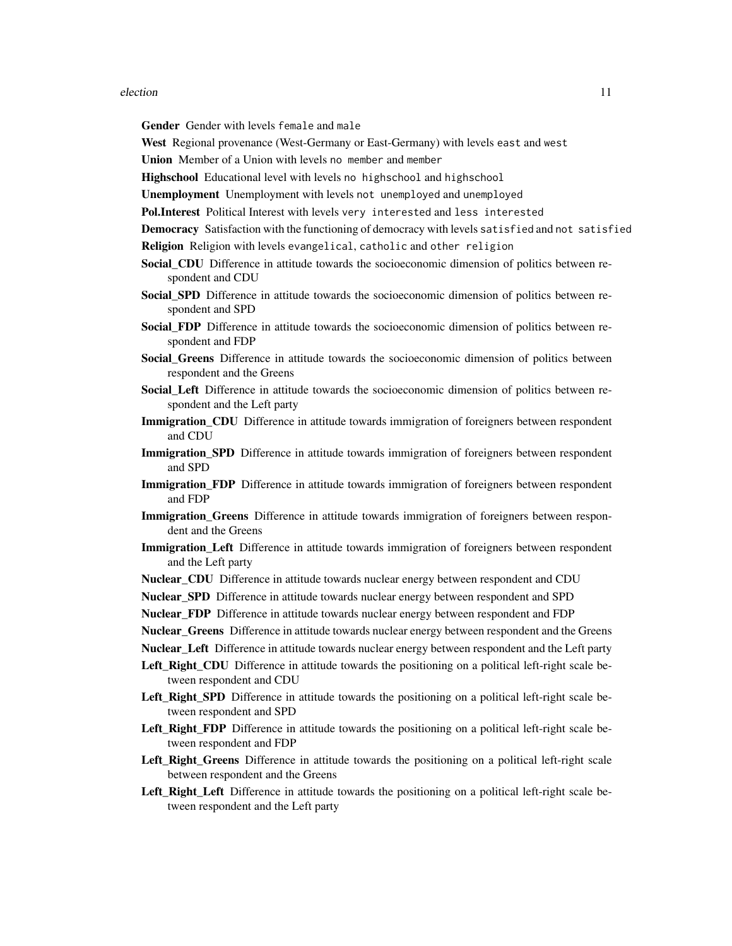#### election 11

Gender Gender with levels female and male

West Regional provenance (West-Germany or East-Germany) with levels east and west

Union Member of a Union with levels no member and member

Highschool Educational level with levels no highschool and highschool

Unemployment Unemployment with levels not unemployed and unemployed

Pol.Interest Political Interest with levels very interested and less interested

Democracy Satisfaction with the functioning of democracy with levels satisfied and not satisfied

Religion Religion with levels evangelical, catholic and other religion

- Social\_CDU Difference in attitude towards the socioeconomic dimension of politics between respondent and CDU
- Social\_SPD Difference in attitude towards the socioeconomic dimension of politics between respondent and SPD
- Social\_FDP Difference in attitude towards the socioeconomic dimension of politics between respondent and FDP
- Social Greens Difference in attitude towards the socioeconomic dimension of politics between respondent and the Greens
- Social\_Left Difference in attitude towards the socioeconomic dimension of politics between respondent and the Left party
- **Immigration CDU** Difference in attitude towards immigration of foreigners between respondent and CDU
- **Immigration\_SPD** Difference in attitude towards immigration of foreigners between respondent and SPD
- **Immigration\_FDP** Difference in attitude towards immigration of foreigners between respondent and FDP
- **Immigration\_Greens** Difference in attitude towards immigration of foreigners between respondent and the Greens
- **Immigration\_Left** Difference in attitude towards immigration of foreigners between respondent and the Left party
- Nuclear CDU Difference in attitude towards nuclear energy between respondent and CDU
- Nuclear\_SPD Difference in attitude towards nuclear energy between respondent and SPD

Nuclear\_FDP Difference in attitude towards nuclear energy between respondent and FDP

Nuclear\_Greens Difference in attitude towards nuclear energy between respondent and the Greens

Nuclear\_Left Difference in attitude towards nuclear energy between respondent and the Left party

- Left Right CDU Difference in attitude towards the positioning on a political left-right scale between respondent and CDU
- Left\_Right\_SPD Difference in attitude towards the positioning on a political left-right scale between respondent and SPD
- Left\_Right\_FDP Difference in attitude towards the positioning on a political left-right scale between respondent and FDP
- Left\_Right\_Greens Difference in attitude towards the positioning on a political left-right scale between respondent and the Greens
- Left Right Left Difference in attitude towards the positioning on a political left-right scale between respondent and the Left party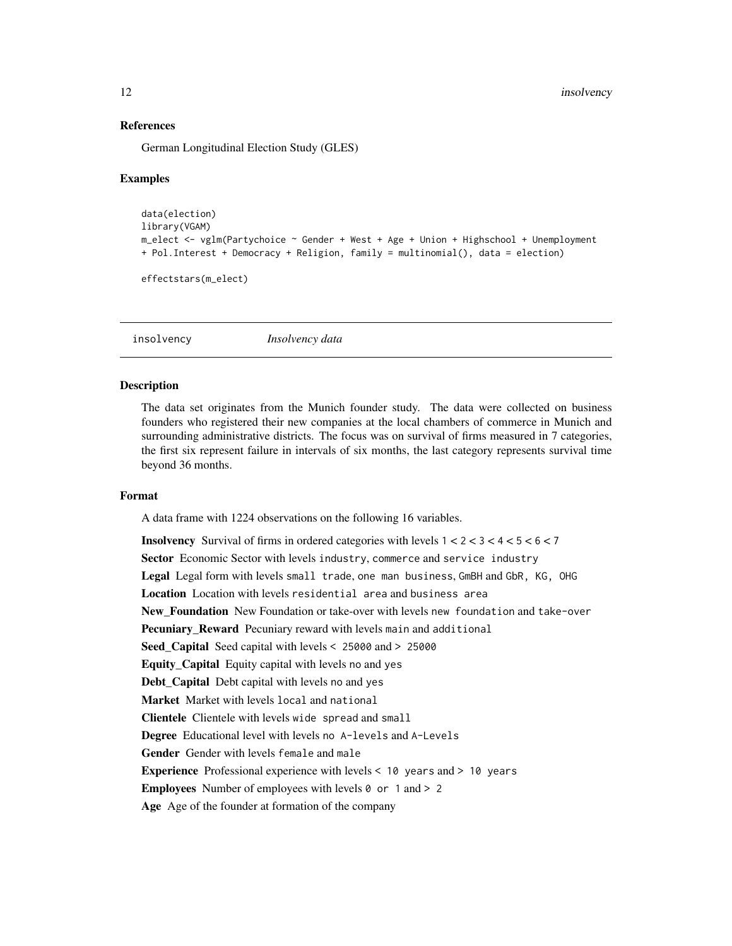#### References

German Longitudinal Election Study (GLES)

#### Examples

```
data(election)
library(VGAM)
m_elect <- vglm(Partychoice ~ Gender + West + Age + Union + Highschool + Unemployment
+ Pol.Interest + Democracy + Religion, family = multinomial(), data = election)
```

```
effectstars(m_elect)
```
insolvency *Insolvency data*

#### Description

The data set originates from the Munich founder study. The data were collected on business founders who registered their new companies at the local chambers of commerce in Munich and surrounding administrative districts. The focus was on survival of firms measured in 7 categories, the first six represent failure in intervals of six months, the last category represents survival time beyond 36 months.

#### Format

A data frame with 1224 observations on the following 16 variables.

**Insolvency** Survival of firms in ordered categories with levels  $1 < 2 < 3 < 4 < 5 < 6 < 7$ Sector Economic Sector with levels industry, commerce and service industry Legal Legal form with levels small trade, one man business, GmBH and GbR, KG, OHG Location Location with levels residential area and business area New Foundation New Foundation or take-over with levels new foundation and take-over Pecuniary\_Reward Pecuniary reward with levels main and additional Seed Capital Seed capital with levels < 25000 and > 25000 Equity\_Capital Equity capital with levels no and yes Debt\_Capital Debt capital with levels no and yes Market Market with levels local and national Clientele Clientele with levels wide spread and small Degree Educational level with levels no A-levels and A-Levels Gender Gender with levels female and male Experience Professional experience with levels < 10 years and > 10 years **Employees** Number of employees with levels  $\theta$  or 1 and > 2 Age Age of the founder at formation of the company

<span id="page-11-0"></span>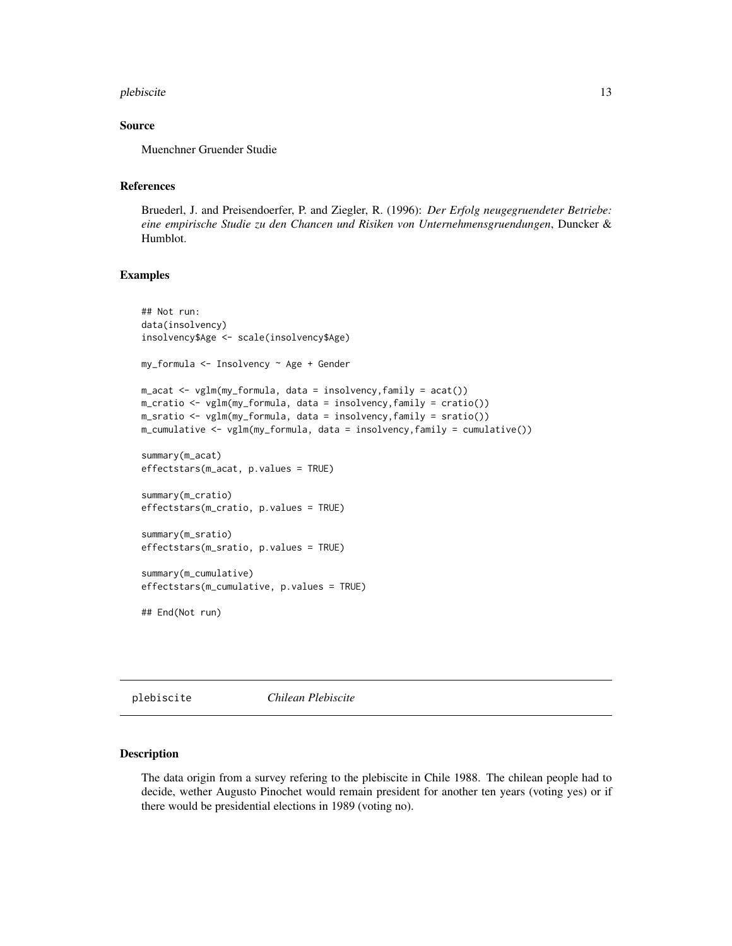#### <span id="page-12-0"></span>plebiscite the state of the state of the state of the state of the state of the state of the state of the state of the state of the state of the state of the state of the state of the state of the state of the state of the

#### Source

Muenchner Gruender Studie

#### References

Bruederl, J. and Preisendoerfer, P. and Ziegler, R. (1996): *Der Erfolg neugegruendeter Betriebe: eine empirische Studie zu den Chancen und Risiken von Unternehmensgruendungen*, Duncker & Humblot.

#### Examples

```
## Not run:
data(insolvency)
insolvency$Age <- scale(insolvency$Age)
my_formula <- Insolvency ~ Age + Gender
m_acat <- vglm(my_formula, data = insolvency,family = acat())
m_cratio <- vglm(my_formula, data = insolvency,family = cratio())
m_sratio <- vglm(my_formula, data = insolvency,family = sratio())
m_cumulative <- vglm(my_formula, data = insolvency,family = cumulative())
summary(m_acat)
effectstars(m_acat, p.values = TRUE)
summary(m_cratio)
effectstars(m_cratio, p.values = TRUE)
summary(m_sratio)
effectstars(m_sratio, p.values = TRUE)
summary(m_cumulative)
effectstars(m_cumulative, p.values = TRUE)
## End(Not run)
```
plebiscite *Chilean Plebiscite*

#### Description

The data origin from a survey refering to the plebiscite in Chile 1988. The chilean people had to decide, wether Augusto Pinochet would remain president for another ten years (voting yes) or if there would be presidential elections in 1989 (voting no).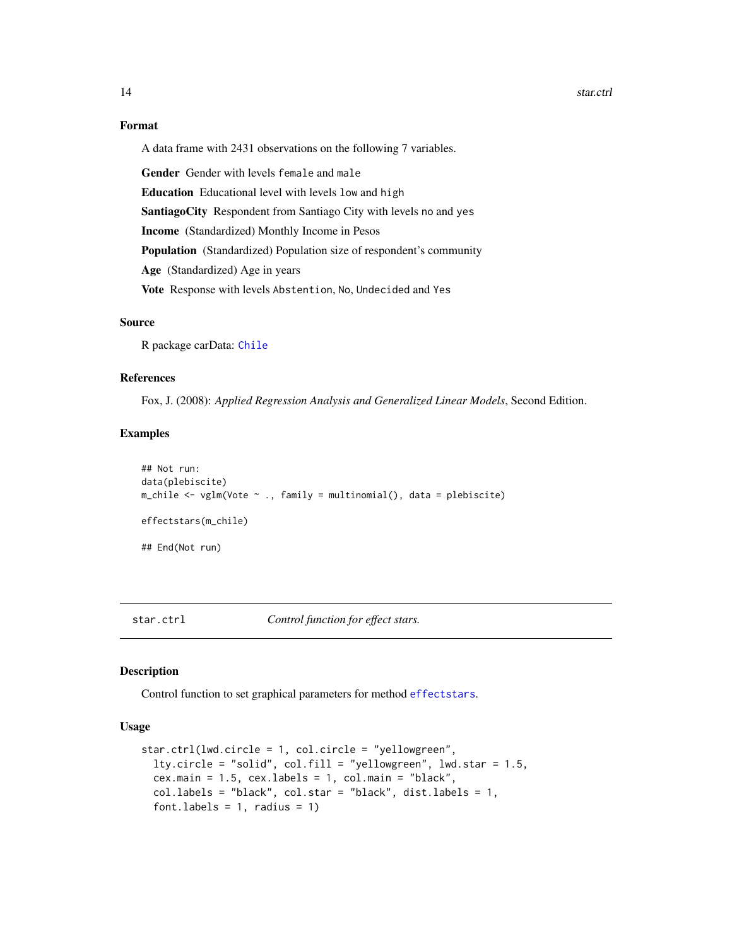#### <span id="page-13-0"></span>14 star.ctrl

#### Format

A data frame with 2431 observations on the following 7 variables.

Gender Gender with levels female and male Education Educational level with levels low and high SantiagoCity Respondent from Santiago City with levels no and yes Income (Standardized) Monthly Income in Pesos Population (Standardized) Population size of respondent's community Age (Standardized) Age in years Vote Response with levels Abstention, No, Undecided and Yes

#### Source

R package carData: [Chile](#page-0-0)

#### References

Fox, J. (2008): *Applied Regression Analysis and Generalized Linear Models*, Second Edition.

#### Examples

```
## Not run:
data(plebiscite)
m_chile <- vglm(Vote ~ ., family = multinomial(), data = plebiscite)
effectstars(m_chile)
## End(Not run)
```
<span id="page-13-1"></span>star.ctrl *Control function for effect stars.*

#### Description

Control function to set graphical parameters for method [effectstars](#page-1-1).

#### Usage

```
star.ctrl(lwd.circle = 1, col.circle = "yellowgreen",
  lty.circle = "solid", col.fill = "yellowgreen", lwd.star = 1.5,
  cex.mainloop = 1.5, cexu = 1, col.mainloop = "black",col.labels = "black", col.star = "black", dist.labels = 1,
  font.labels = 1, radius = 1)
```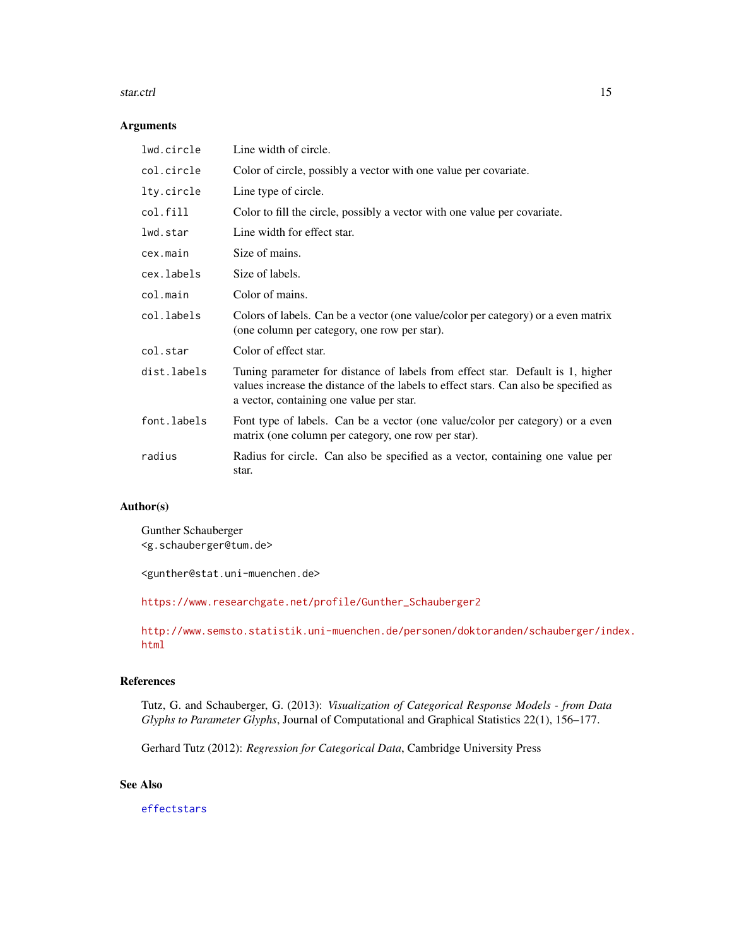#### <span id="page-14-0"></span>star.ctrl 15

#### Arguments

| lwd.circle  | Line width of circle.                                                                                                                                                                                              |
|-------------|--------------------------------------------------------------------------------------------------------------------------------------------------------------------------------------------------------------------|
| col.circle  | Color of circle, possibly a vector with one value per covariate.                                                                                                                                                   |
| lty.circle  | Line type of circle.                                                                                                                                                                                               |
| col.fill    | Color to fill the circle, possibly a vector with one value per covariate.                                                                                                                                          |
| lwd.star    | Line width for effect star.                                                                                                                                                                                        |
| cex.main    | Size of mains.                                                                                                                                                                                                     |
| cex.labels  | Size of labels.                                                                                                                                                                                                    |
| col.main    | Color of mains.                                                                                                                                                                                                    |
| col.labels  | Colors of labels. Can be a vector (one value/color per category) or a even matrix<br>(one column per category, one row per star).                                                                                  |
| col.star    | Color of effect star.                                                                                                                                                                                              |
| dist.labels | Tuning parameter for distance of labels from effect star. Default is 1, higher<br>values increase the distance of the labels to effect stars. Can also be specified as<br>a vector, containing one value per star. |
| font.labels | Font type of labels. Can be a vector (one value/color per category) or a even<br>matrix (one column per category, one row per star).                                                                               |
| radius      | Radius for circle. Can also be specified as a vector, containing one value per<br>star.                                                                                                                            |

#### Author(s)

Gunther Schauberger <g.schauberger@tum.de>

<gunther@stat.uni-muenchen.de>

[https://www.researchgate.net/profile/Gunther\\_Schauberger2](https://www.researchgate.net/profile/Gunther_Schauberger2)

[http://www.semsto.statistik.uni-muenchen.de/personen/doktoranden/schauberger/ind](http://www.semsto.statistik.uni-muenchen.de/personen/doktoranden/schauberger/index.html)ex. [html](http://www.semsto.statistik.uni-muenchen.de/personen/doktoranden/schauberger/index.html)

#### References

Tutz, G. and Schauberger, G. (2013): *Visualization of Categorical Response Models - from Data Glyphs to Parameter Glyphs*, Journal of Computational and Graphical Statistics 22(1), 156–177.

Gerhard Tutz (2012): *Regression for Categorical Data*, Cambridge University Press

### See Also

[effectstars](#page-1-1)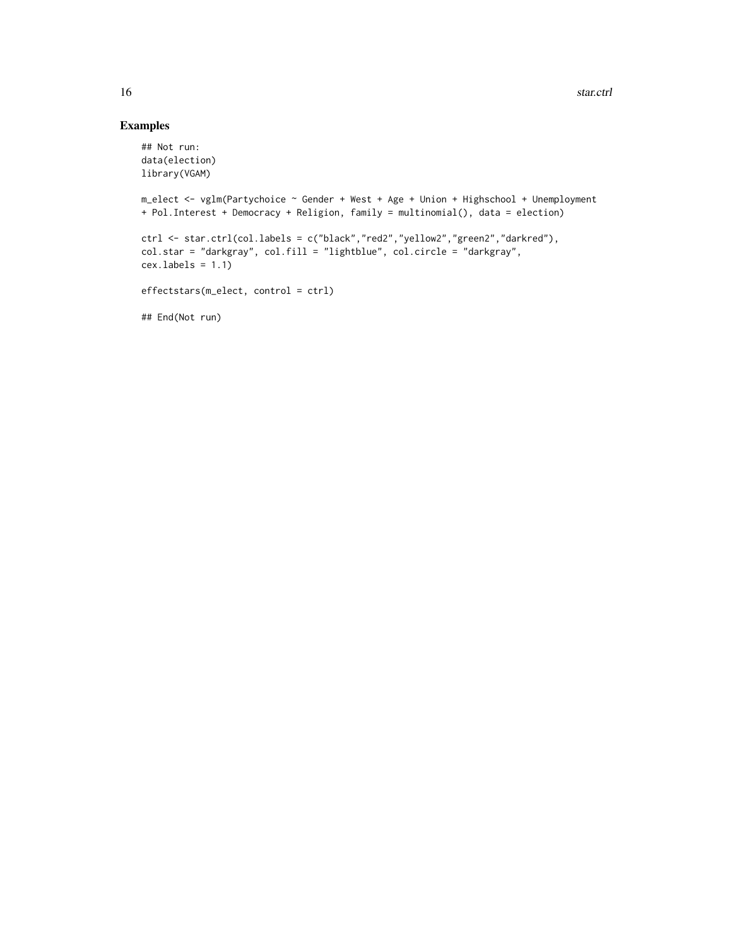### Examples

```
## Not run:
data(election)
library(VGAM)
m_elect <- vglm(Partychoice ~ Gender + West + Age + Union + Highschool + Unemployment
+ Pol.Interest + Democracy + Religion, family = multinomial(), data = election)
ctrl <- star.ctrl(col.labels = c("black","red2","yellow2","green2","darkred"),
col.star = "darkgray", col.fill = "lightblue", col.circle = "darkgray",
cex.labels = 1.1)effectstars(m_elect, control = ctrl)
## End(Not run)
```